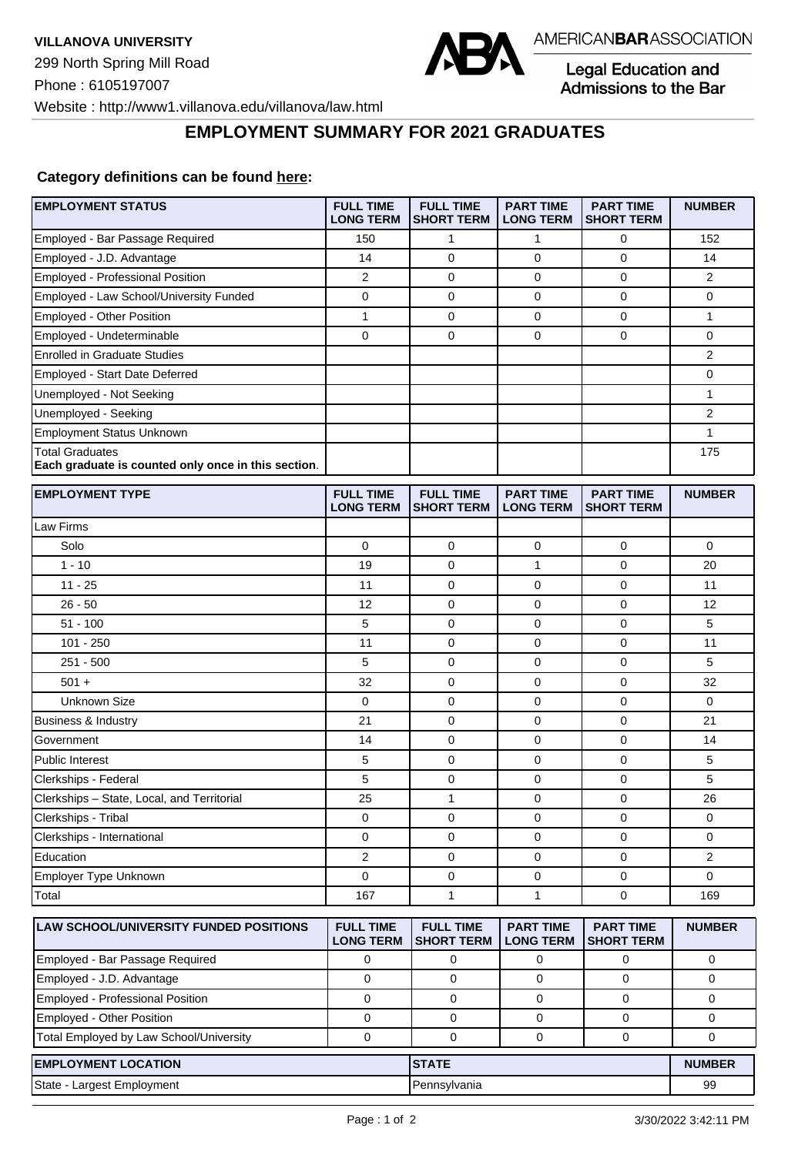

Legal Education and<br>Admissions to the Bar

Website : http://www1.villanova.edu/villanova/law.html

## **EMPLOYMENT SUMMARY FOR 2021 GRADUATES**

## **Category definitions can be found [here:](https://www.americanbar.org/content/dam/aba/administrative/legal_education_and_admissions_to_the_bar/Questionnaires/2021/2022-employment-protocols-for-the-class-of-2021-september-2021.pdf)**

| <b>EMPLOYMENT STATUS</b>                                                      | <b>FULL TIME</b><br><b>LONG TERM</b> | <b>FULL TIME</b><br><b>SHORT TERM</b> | <b>PART TIME</b><br><b>LONG TERM</b> | <b>PART TIME</b><br><b>SHORT TERM</b> | <b>NUMBER</b>  |
|-------------------------------------------------------------------------------|--------------------------------------|---------------------------------------|--------------------------------------|---------------------------------------|----------------|
| Employed - Bar Passage Required                                               | 150                                  | 1                                     | 1                                    | 0                                     | 152            |
| Employed - J.D. Advantage                                                     | 14                                   | $\mathbf 0$                           | 0                                    | $\mathbf 0$                           | 14             |
| <b>Employed - Professional Position</b>                                       | $\overline{2}$                       | $\mathbf 0$                           | 0                                    | $\mathbf 0$                           | $\overline{2}$ |
| Employed - Law School/University Funded                                       | 0                                    | $\mathbf 0$                           | 0                                    | $\mathbf 0$                           | 0              |
| Employed - Other Position                                                     | $\mathbf{1}$                         | 0                                     | $\mathbf 0$                          | $\pmb{0}$                             | $\mathbf{1}$   |
| Employed - Undeterminable                                                     | $\mathbf 0$                          | 0                                     | 0                                    | $\mathbf 0$                           | 0              |
| <b>Enrolled in Graduate Studies</b>                                           |                                      |                                       |                                      |                                       | $\overline{2}$ |
| Employed - Start Date Deferred                                                |                                      |                                       |                                      |                                       | 0              |
| Unemployed - Not Seeking                                                      |                                      |                                       |                                      |                                       | $\mathbf{1}$   |
| Unemployed - Seeking                                                          |                                      |                                       |                                      |                                       | $\overline{2}$ |
| <b>Employment Status Unknown</b>                                              |                                      |                                       |                                      |                                       | 1              |
| <b>Total Graduates</b><br>Each graduate is counted only once in this section. |                                      |                                       |                                      |                                       | 175            |
| <b>EMPLOYMENT TYPE</b>                                                        | <b>FULL TIME</b><br><b>LONG TERM</b> | <b>FULL TIME</b><br><b>SHORT TERM</b> | <b>PART TIME</b><br><b>LONG TERM</b> | <b>PART TIME</b><br><b>SHORT TERM</b> | <b>NUMBER</b>  |
| Law Firms                                                                     |                                      |                                       |                                      |                                       |                |
| Solo                                                                          | 0                                    | 0                                     | 0                                    | 0                                     | 0              |
| $1 - 10$                                                                      | 19                                   | $\mathbf 0$                           | $\mathbf{1}$                         | $\mathbf 0$                           | 20             |
| $11 - 25$                                                                     | 11                                   | 0                                     | 0                                    | $\mathbf 0$                           | 11             |
| $26 - 50$                                                                     | 12                                   | 0                                     | 0                                    | $\mathbf 0$                           | 12             |
| $51 - 100$                                                                    | 5                                    | 0                                     | 0                                    | $\mathbf 0$                           | 5              |
| $101 - 250$                                                                   | 11                                   | 0                                     | 0                                    | $\mathbf 0$                           | 11             |
| $251 - 500$                                                                   | 5                                    | $\mathbf 0$                           | 0                                    | $\mathbf 0$                           | 5              |
| $501 +$                                                                       | 32                                   | 0                                     | 0                                    | $\mathbf 0$                           | 32             |
| <b>Unknown Size</b>                                                           | $\mathbf 0$                          | 0                                     | $\mathbf 0$                          | 0                                     | $\mathbf 0$    |
| <b>Business &amp; Industry</b>                                                | 21                                   | 0                                     | 0                                    | $\mathbf 0$                           | 21             |
| Government                                                                    | 14                                   | 0                                     | 0                                    | $\mathbf 0$                           | 14             |
| Public Interest                                                               | 5                                    | 0                                     | 0                                    | $\mathbf 0$                           | 5              |
| Clerkships - Federal                                                          | 5                                    | 0                                     | 0                                    | $\mathbf 0$                           | 5              |
| Clerkships - State, Local, and Territorial                                    | 25                                   | 1                                     | 0                                    | 0                                     | 26             |
| Clerkships - Tribal                                                           | 0                                    | 0                                     | 0                                    | $\mathbf 0$                           | 0              |
| Clerkships - International                                                    | 0                                    | 0                                     | 0                                    | $\mathbf 0$                           | 0              |
| Education                                                                     | 2                                    | 0                                     | 0                                    | $\pmb{0}$                             | 2              |
| Employer Type Unknown                                                         | $\Omega$                             | 0                                     | $\mathbf 0$                          | $\mathbf{0}$                          | 0              |
| Total                                                                         | 167                                  | 1                                     | 1                                    | $\mathbf 0$                           | 169            |
| LAW SCHOOL/UNIVERSITY FUNDED POSITIONS                                        | <b>FULL TIME</b><br><b>LONG TERM</b> | <b>FULL TIME</b><br><b>SHORT TERM</b> | <b>PART TIME</b><br><b>LONG TERM</b> | <b>PART TIME</b><br><b>SHORT TERM</b> | <b>NUMBER</b>  |
| Employed - Bar Passage Required                                               | 0                                    | 0                                     | 0                                    | 0                                     | 0              |
| Employed - J.D. Advantage                                                     | $\mathbf 0$                          | 0                                     | 0                                    | 0                                     | 0              |
| Employed - Professional Position                                              | $\mathbf 0$                          | 0                                     | 0                                    | $\mathbf 0$                           | 0              |
| Employed - Other Position                                                     | 0                                    | 0                                     | 0                                    | 0                                     | 0              |
| Total Employed by Law School/University                                       | $\mathbf 0$                          | 0                                     | 0                                    | 0                                     | 0              |
| <b>EMPLOYMENT LOCATION</b>                                                    |                                      | <b>STATE</b>                          |                                      |                                       | <b>NUMBER</b>  |
| State - Largest Employment                                                    |                                      | Pennsylvania                          |                                      |                                       | 99             |
|                                                                               |                                      |                                       |                                      |                                       |                |